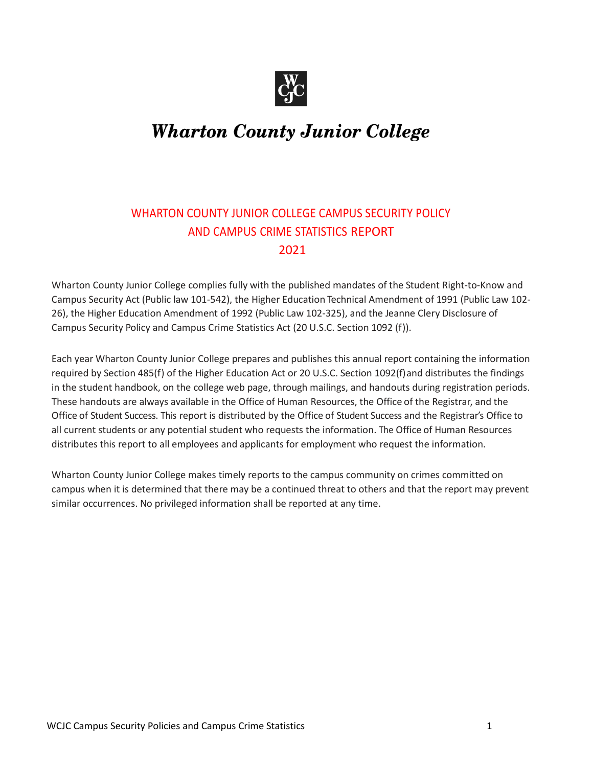

# **Wharton County Junior College**

## WHARTON COUNTY JUNIOR COLLEGE CAMPUS SECURITY POLICY AND CAMPUS CRIME STATISTICS REPORT 2021

Wharton County Junior College complies fully with the published mandates of the Student Right-to-Know and Campus Security Act (Public law 101-542), the Higher Education Technical Amendment of 1991 (Public Law 102- 26), the Higher Education Amendment of 1992 (Public Law 102-325), and the Jeanne Clery Disclosure of Campus Security Policy and Campus Crime Statistics Act (20 U.S.C. Section 1092 (f)).

Each year Wharton County Junior College prepares and publishes this annual report containing the information required by Section 485(f) of the Higher Education Act or 20 U.S.C. Section 1092(f)and distributes the findings in the student handbook, on the college web page, through mailings, and handouts during registration periods. These handouts are always available in the Office of Human Resources, the Office of the Registrar, and the Office of Student Success. This report is distributed by the Office of Student Success and the Registrar's Office to all current students or any potential student who requests the information. The Office of Human Resources distributes this report to all employees and applicants for employment who request the information.

Wharton County Junior College makes timely reports to the campus community on crimes committed on campus when it is determined that there may be a continued threat to others and that the report may prevent similar occurrences. No privileged information shall be reported at any time.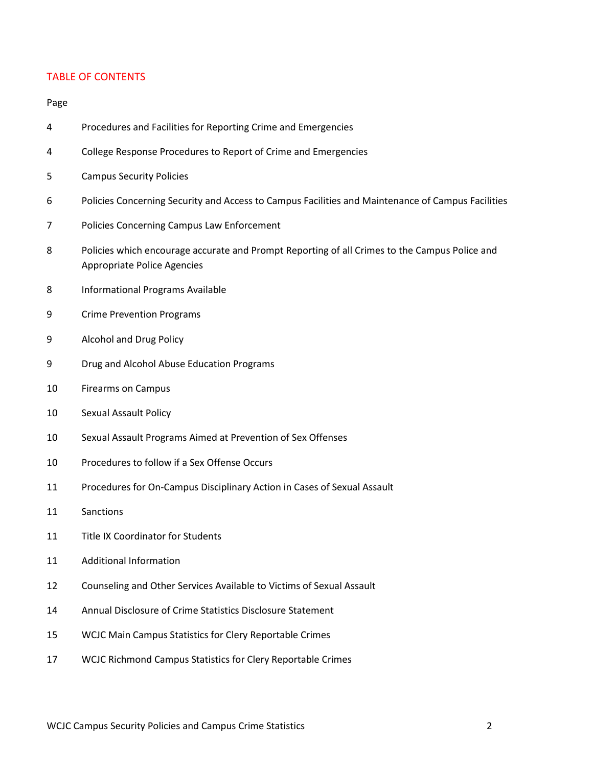### TABLE OF CONTENTS

#### Page

- Procedures and Facilities for Reporting Crime and Emergencies
- College Response Procedures to Report of Crime and Emergencies
- Campus Security Policies
- Policies Concerning Security and Access to Campus Facilities and Maintenance of Campus Facilities
- Policies Concerning Campus Law Enforcement
- Policies which encourage accurate and Prompt Reporting of all Crimes to the Campus Police and Appropriate Police Agencies
- Informational Programs Available
- Crime Prevention Programs
- Alcohol and Drug Policy
- Drug and Alcohol Abuse Education Programs
- Firearms on Campus
- Sexual Assault Policy
- Sexual Assault Programs Aimed at Prevention of Sex Offenses
- Procedures to follow if a Sex Offense Occurs
- Procedures for On-Campus Disciplinary Action in Cases of Sexual Assault
- Sanctions
- Title IX Coordinator for Students
- Additional Information
- Counseling and Other Services Available to Victims of Sexual Assault
- Annual Disclosure of Crime Statistics Disclosure Statement
- WCJC Main Campus Statistics for Clery Reportable Crimes
- WCJC Richmond Campus Statistics for Clery Reportable Crimes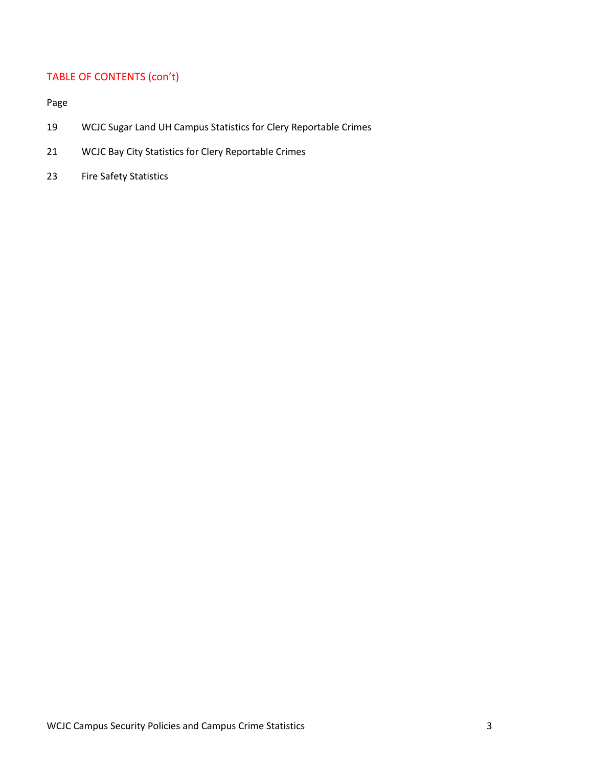# TABLE OF CONTENTS (con't)

Page

- 19 WCJC Sugar Land UH Campus Statistics for Clery Reportable Crimes
- 21 WCJC Bay City Statistics for Clery Reportable Crimes
- 23 Fire Safety Statistics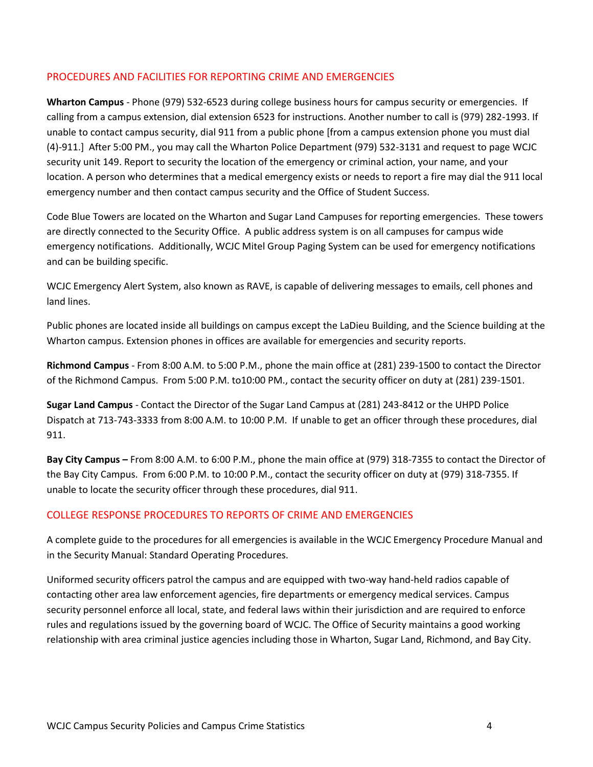### PROCEDURES AND FACILITIES FOR REPORTING CRIME AND EMERGENCIES

**Wharton Campus** - Phone (979) 532-6523 during college business hours for campus security or emergencies. If calling from a campus extension, dial extension 6523 for instructions. Another number to call is (979) 282-1993. If unable to contact campus security, dial 911 from a public phone [from a campus extension phone you must dial (4)-911.] After 5:00 PM., you may call the Wharton Police Department (979) 532-3131 and request to page WCJC security unit 149. Report to security the location of the emergency or criminal action, your name, and your location. A person who determines that a medical emergency exists or needs to report a fire may dial the 911 local emergency number and then contact campus security and the Office of Student Success.

Code Blue Towers are located on the Wharton and Sugar Land Campuses for reporting emergencies. These towers are directly connected to the Security Office. A public address system is on all campuses for campus wide emergency notifications. Additionally, WCJC Mitel Group Paging System can be used for emergency notifications and can be building specific.

WCJC Emergency Alert System, also known as RAVE, is capable of delivering messages to emails, cell phones and land lines.

Public phones are located inside all buildings on campus except the LaDieu Building, and the Science building at the Wharton campus. Extension phones in offices are available for emergencies and security reports.

**Richmond Campus** - From 8:00 A.M. to 5:00 P.M., phone the main office at (281) 239-1500 to contact the Director of the Richmond Campus. From 5:00 P.M. to10:00 PM., contact the security officer on duty at (281) 239-1501.

**Sugar Land Campus** - Contact the Director of the Sugar Land Campus at (281) 243-8412 or the UHPD Police Dispatch at 713-743-3333 from 8:00 A.M. to 10:00 P.M. If unable to get an officer through these procedures, dial 911.

**Bay City Campus –** From 8:00 A.M. to 6:00 P.M., phone the main office at (979) 318-7355 to contact the Director of the Bay City Campus. From 6:00 P.M. to 10:00 P.M., contact the security officer on duty at (979) 318-7355. If unable to locate the security officer through these procedures, dial 911.

### COLLEGE RESPONSE PROCEDURES TO REPORTS OF CRIME AND EMERGENCIES

A complete guide to the procedures for all emergencies is available in the WCJC Emergency Procedure Manual and in the Security Manual: Standard Operating Procedures.

Uniformed security officers patrol the campus and are equipped with two-way hand-held radios capable of contacting other area law enforcement agencies, fire departments or emergency medical services. Campus security personnel enforce all local, state, and federal laws within their jurisdiction and are required to enforce rules and regulations issued by the governing board of WCJC. The Office of Security maintains a good working relationship with area criminal justice agencies including those in Wharton, Sugar Land, Richmond, and Bay City.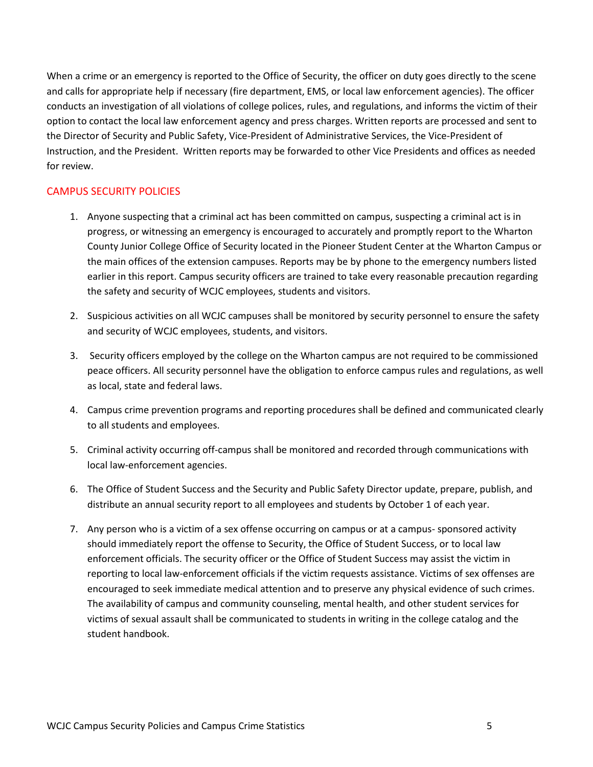When a crime or an emergency is reported to the Office of Security, the officer on duty goes directly to the scene and calls for appropriate help if necessary (fire department, EMS, or local law enforcement agencies). The officer conducts an investigation of all violations of college polices, rules, and regulations, and informs the victim of their option to contact the local law enforcement agency and press charges. Written reports are processed and sent to the Director of Security and Public Safety, Vice-President of Administrative Services, the Vice-President of Instruction, and the President. Written reports may be forwarded to other Vice Presidents and offices as needed for review.

### CAMPUS SECURITY POLICIES

- 1. Anyone suspecting that a criminal act has been committed on campus, suspecting a criminal act is in progress, or witnessing an emergency is encouraged to accurately and promptly report to the Wharton County Junior College Office of Security located in the Pioneer Student Center at the Wharton Campus or the main offices of the extension campuses. Reports may be by phone to the emergency numbers listed earlier in this report. Campus security officers are trained to take every reasonable precaution regarding the safety and security of WCJC employees, students and visitors.
- 2. Suspicious activities on all WCJC campuses shall be monitored by security personnel to ensure the safety and security of WCJC employees, students, and visitors.
- 3. Security officers employed by the college on the Wharton campus are not required to be commissioned peace officers. All security personnel have the obligation to enforce campus rules and regulations, as well as local, state and federal laws.
- 4. Campus crime prevention programs and reporting procedures shall be defined and communicated clearly to all students and employees.
- 5. Criminal activity occurring off-campus shall be monitored and recorded through communications with local law-enforcement agencies.
- 6. The Office of Student Success and the Security and Public Safety Director update, prepare, publish, and distribute an annual security report to all employees and students by October 1 of each year.
- 7. Any person who is a victim of a sex offense occurring on campus or at a campus- sponsored activity should immediately report the offense to Security, the Office of Student Success, or to local law enforcement officials. The security officer or the Office of Student Success may assist the victim in reporting to local law-enforcement officials if the victim requests assistance. Victims of sex offenses are encouraged to seek immediate medical attention and to preserve any physical evidence of such crimes. The availability of campus and community counseling, mental health, and other student services for victims of sexual assault shall be communicated to students in writing in the college catalog and the student handbook.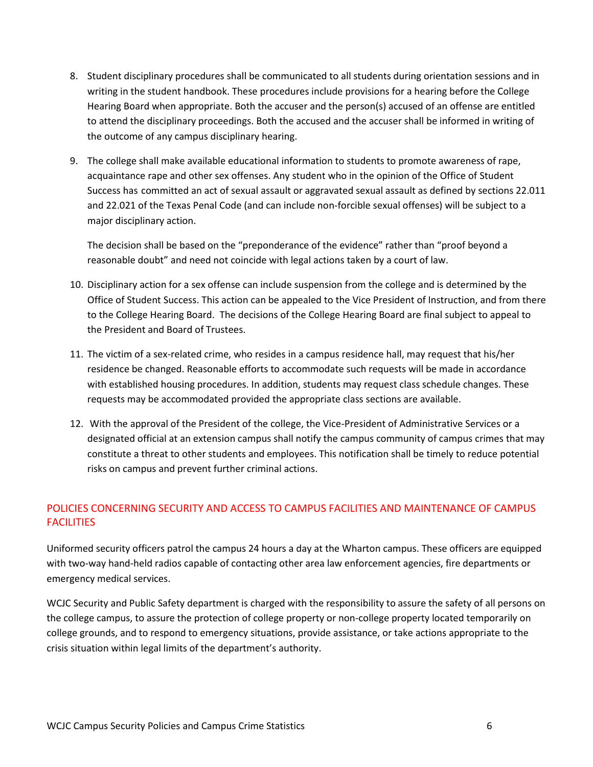- 8. Student disciplinary procedures shall be communicated to all students during orientation sessions and in writing in the student handbook. These procedures include provisions for a hearing before the College Hearing Board when appropriate. Both the accuser and the person(s) accused of an offense are entitled to attend the disciplinary proceedings. Both the accused and the accuser shall be informed in writing of the outcome of any campus disciplinary hearing.
- 9. The college shall make available educational information to students to promote awareness of rape, acquaintance rape and other sex offenses. Any student who in the opinion of the Office of Student Success has committed an act of sexual assault or aggravated sexual assault as defined by sections 22.011 and 22.021 of the Texas Penal Code (and can include non-forcible sexual offenses) will be subject to a major disciplinary action.

The decision shall be based on the "preponderance of the evidence" rather than "proof beyond a reasonable doubt" and need not coincide with legal actions taken by a court of law.

- 10. Disciplinary action for a sex offense can include suspension from the college and is determined by the Office of Student Success. This action can be appealed to the Vice President of Instruction, and from there to the College Hearing Board. The decisions of the College Hearing Board are final subject to appeal to the President and Board of Trustees.
- 11. The victim of a sex-related crime, who resides in a campus residence hall, may request that his/her residence be changed. Reasonable efforts to accommodate such requests will be made in accordance with established housing procedures. In addition, students may request class schedule changes. These requests may be accommodated provided the appropriate class sections are available.
- 12. With the approval of the President of the college, the Vice-President of Administrative Services or a designated official at an extension campus shall notify the campus community of campus crimes that may constitute a threat to other students and employees. This notification shall be timely to reduce potential risks on campus and prevent further criminal actions.

### POLICIES CONCERNING SECURITY AND ACCESS TO CAMPUS FACILITIES AND MAINTENANCE OF CAMPUS **FACILITIES**

Uniformed security officers patrol the campus 24 hours a day at the Wharton campus. These officers are equipped with two-way hand-held radios capable of contacting other area law enforcement agencies, fire departments or emergency medical services.

WCJC Security and Public Safety department is charged with the responsibility to assure the safety of all persons on the college campus, to assure the protection of college property or non-college property located temporarily on college grounds, and to respond to emergency situations, provide assistance, or take actions appropriate to the crisis situation within legal limits of the department's authority.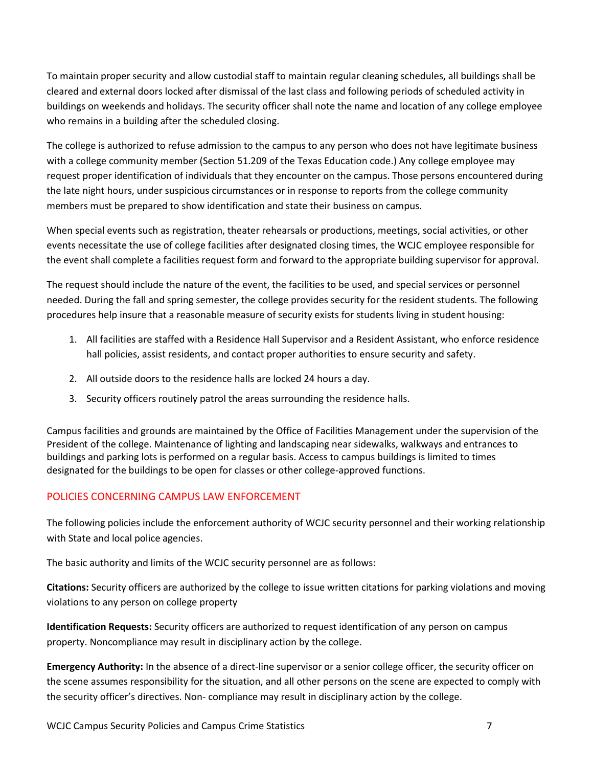To maintain proper security and allow custodial staff to maintain regular cleaning schedules, all buildings shall be cleared and external doors locked after dismissal of the last class and following periods of scheduled activity in buildings on weekends and holidays. The security officer shall note the name and location of any college employee who remains in a building after the scheduled closing.

The college is authorized to refuse admission to the campus to any person who does not have legitimate business with a college community member (Section 51.209 of the Texas Education code.) Any college employee may request proper identification of individuals that they encounter on the campus. Those persons encountered during the late night hours, under suspicious circumstances or in response to reports from the college community members must be prepared to show identification and state their business on campus.

When special events such as registration, theater rehearsals or productions, meetings, social activities, or other events necessitate the use of college facilities after designated closing times, the WCJC employee responsible for the event shall complete a facilities request form and forward to the appropriate building supervisor for approval.

The request should include the nature of the event, the facilities to be used, and special services or personnel needed. During the fall and spring semester, the college provides security for the resident students. The following procedures help insure that a reasonable measure of security exists for students living in student housing:

- 1. All facilities are staffed with a Residence Hall Supervisor and a Resident Assistant, who enforce residence hall policies, assist residents, and contact proper authorities to ensure security and safety.
- 2. All outside doors to the residence halls are locked 24 hours a day.
- 3. Security officers routinely patrol the areas surrounding the residence halls.

Campus facilities and grounds are maintained by the Office of Facilities Management under the supervision of the President of the college. Maintenance of lighting and landscaping near sidewalks, walkways and entrances to buildings and parking lots is performed on a regular basis. Access to campus buildings is limited to times designated for the buildings to be open for classes or other college-approved functions.

### POLICIES CONCERNING CAMPUS LAW ENFORCEMENT

The following policies include the enforcement authority of WCJC security personnel and their working relationship with State and local police agencies.

The basic authority and limits of the WCJC security personnel are as follows:

**Citations:** Security officers are authorized by the college to issue written citations for parking violations and moving violations to any person on college property

**Identification Requests:** Security officers are authorized to request identification of any person on campus property. Noncompliance may result in disciplinary action by the college.

**Emergency Authority:** In the absence of a direct-line supervisor or a senior college officer, the security officer on the scene assumes responsibility for the situation, and all other persons on the scene are expected to comply with the security officer's directives. Non- compliance may result in disciplinary action by the college.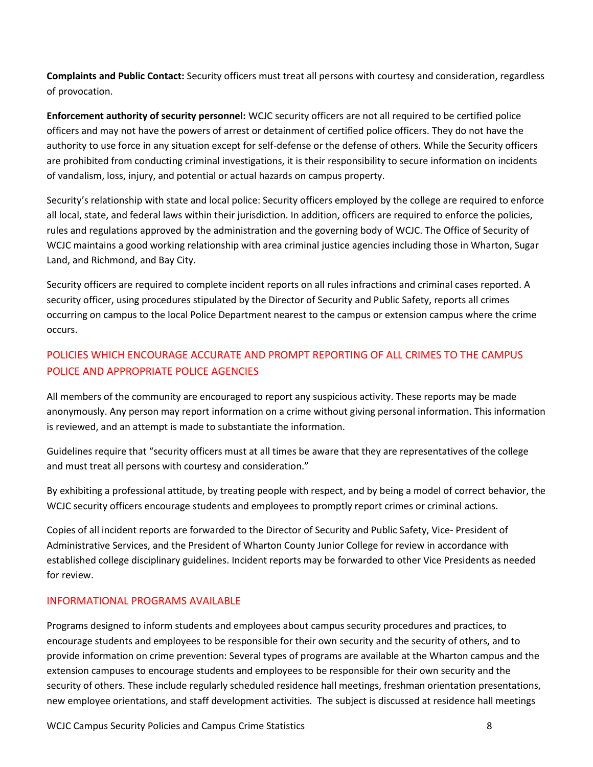**Complaints and Public Contact:** Security officers must treat all persons with courtesy and consideration, regardless of provocation.

**Enforcement authority of security personnel:** WCJC security officers are not all required to be certified police officers and may not have the powers of arrest or detainment of certified police officers. They do not have the authority to use force in any situation except for self-defense or the defense of others. While the Security officers are prohibited from conducting criminal investigations, it is their responsibility to secure information on incidents of vandalism, loss, injury, and potential or actual hazards on campus property.

Security's relationship with state and local police: Security officers employed by the college are required to enforce all local, state, and federal laws within their jurisdiction. In addition, officers are required to enforce the policies, rules and regulations approved by the administration and the governing body of WCJC. The Office of Security of WCJC maintains a good working relationship with area criminal justice agencies including those in Wharton, Sugar Land, and Richmond, and Bay City.

Security officers are required to complete incident reports on all rules infractions and criminal cases reported. A security officer, using procedures stipulated by the Director of Security and Public Safety, reports all crimes occurring on campus to the local Police Department nearest to the campus or extension campus where the crime occurs.

### POLICIES WHICH ENCOURAGE ACCURATE AND PROMPT REPORTING OF ALL CRIMES TO THE CAMPUS POLICE AND APPROPRIATE POLICE AGENCIES

All members of the community are encouraged to report any suspicious activity. These reports may be made anonymously. Any person may report information on a crime without giving personal information. This information is reviewed, and an attempt is made to substantiate the information.

Guidelines require that "security officers must at all times be aware that they are representatives of the college and must treat all persons with courtesy and consideration."

By exhibiting a professional attitude, by treating people with respect, and by being a model of correct behavior, the WCJC security officers encourage students and employees to promptly report crimes or criminal actions.

Copies of all incident reports are forwarded to the Director of Security and Public Safety, Vice- President of Administrative Services, and the President of Wharton County Junior College for review in accordance with established college disciplinary guidelines. Incident reports may be forwarded to other Vice Presidents as needed for review.

### INFORMATIONAL PROGRAMS AVAILABLE

Programs designed to inform students and employees about campus security procedures and practices, to encourage students and employees to be responsible for their own security and the security of others, and to provide information on crime prevention: Several types of programs are available at the Wharton campus and the extension campuses to encourage students and employees to be responsible for their own security and the security of others. These include regularly scheduled residence hall meetings, freshman orientation presentations, new employee orientations, and staff development activities. The subject is discussed at residence hall meetings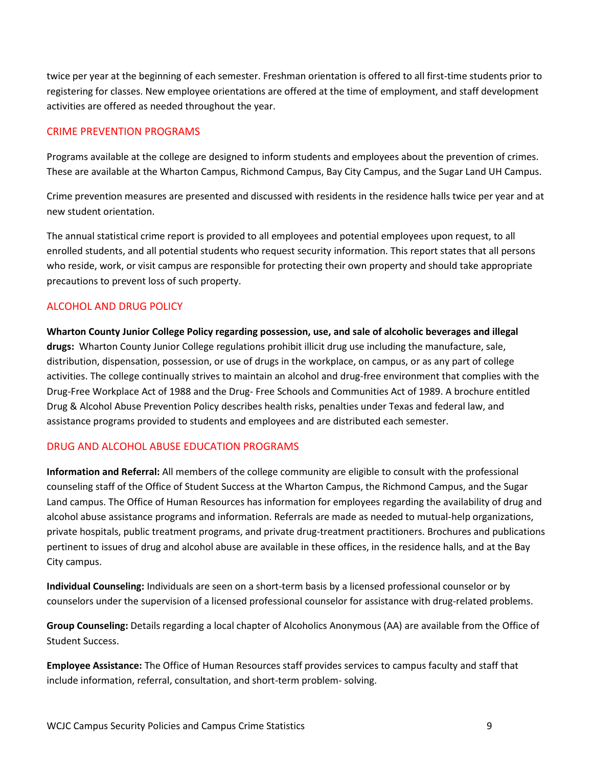twice per year at the beginning of each semester. Freshman orientation is offered to all first-time students prior to registering for classes. New employee orientations are offered at the time of employment, and staff development activities are offered as needed throughout the year.

### CRIME PREVENTION PROGRAMS

Programs available at the college are designed to inform students and employees about the prevention of crimes. These are available at the Wharton Campus, Richmond Campus, Bay City Campus, and the Sugar Land UH Campus.

Crime prevention measures are presented and discussed with residents in the residence halls twice per year and at new student orientation.

The annual statistical crime report is provided to all employees and potential employees upon request, to all enrolled students, and all potential students who request security information. This report states that all persons who reside, work, or visit campus are responsible for protecting their own property and should take appropriate precautions to prevent loss of such property.

### ALCOHOL AND DRUG POLICY

**Wharton County Junior College Policy regarding possession, use, and sale of alcoholic beverages and illegal drugs:** Wharton County Junior College regulations prohibit illicit drug use including the manufacture, sale, distribution, dispensation, possession, or use of drugs in the workplace, on campus, or as any part of college activities. The college continually strives to maintain an alcohol and drug-free environment that complies with the Drug-Free Workplace Act of 1988 and the Drug- Free Schools and Communities Act of 1989. A brochure entitled Drug & Alcohol Abuse Prevention Policy describes health risks, penalties under Texas and federal law, and assistance programs provided to students and employees and are distributed each semester.

### DRUG AND ALCOHOL ABUSE EDUCATION PROGRAMS

**Information and Referral:** All members of the college community are eligible to consult with the professional counseling staff of the Office of Student Success at the Wharton Campus, the Richmond Campus, and the Sugar Land campus. The Office of Human Resources has information for employees regarding the availability of drug and alcohol abuse assistance programs and information. Referrals are made as needed to mutual-help organizations, private hospitals, public treatment programs, and private drug-treatment practitioners. Brochures and publications pertinent to issues of drug and alcohol abuse are available in these offices, in the residence halls, and at the Bay City campus.

**Individual Counseling:** Individuals are seen on a short-term basis by a licensed professional counselor or by counselors under the supervision of a licensed professional counselor for assistance with drug-related problems.

**Group Counseling:** Details regarding a local chapter of Alcoholics Anonymous (AA) are available from the Office of Student Success.

**Employee Assistance:** The Office of Human Resources staff provides services to campus faculty and staff that include information, referral, consultation, and short-term problem- solving.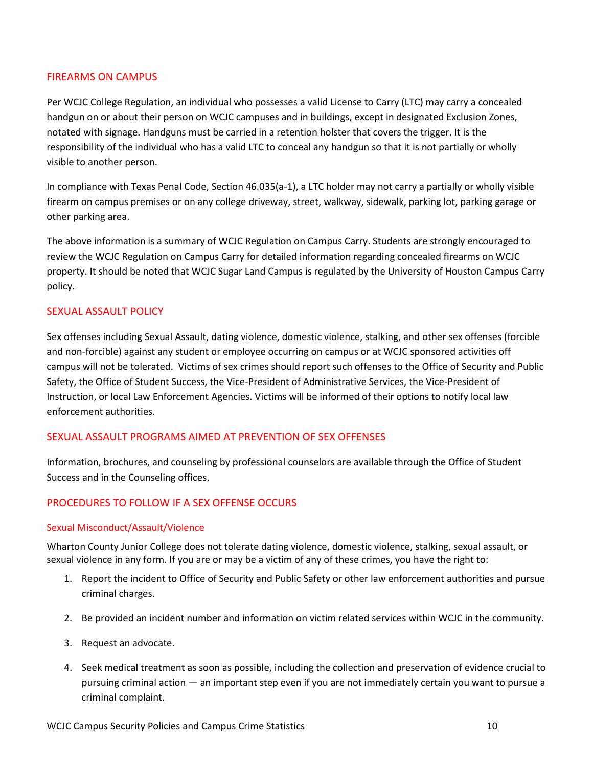### FIREARMS ON CAMPUS

Per WCJC College Regulation, an individual who possesses a valid License to Carry (LTC) may carry a concealed handgun on or about their person on WCJC campuses and in buildings, except in designated Exclusion Zones, notated with signage. Handguns must be carried in a retention holster that covers the trigger. It is the responsibility of the individual who has a valid LTC to conceal any handgun so that it is not partially or wholly visible to another person.

In compliance with Texas Penal Code, Section 46.035(a-1), a LTC holder may not carry a partially or wholly visible firearm on campus premises or on any college driveway, street, walkway, sidewalk, parking lot, parking garage or other parking area.

The above information is a summary of WCJC Regulation on Campus Carry. Students are strongly encouraged to review the WCJC Regulation on Campus Carry for detailed information regarding concealed firearms on WCJC property. It should be noted that WCJC Sugar Land Campus is regulated by the University of Houston Campus Carry policy.

### SEXUAL ASSAULT POLICY

Sex offenses including Sexual Assault, dating violence, domestic violence, stalking, and other sex offenses (forcible and non-forcible) against any student or employee occurring on campus or at WCJC sponsored activities off campus will not be tolerated. Victims of sex crimes should report such offenses to the Office of Security and Public Safety, the Office of Student Success, the Vice-President of Administrative Services, the Vice-President of Instruction, or local Law Enforcement Agencies. Victims will be informed of their options to notify local law enforcement authorities.

#### SEXUAL ASSAULT PROGRAMS AIMED AT PREVENTION OF SEX OFFENSES

Information, brochures, and counseling by professional counselors are available through the Office of Student Success and in the Counseling offices.

### PROCEDURES TO FOLLOW IF A SEX OFFENSE OCCURS

#### Sexual Misconduct/Assault/Violence

Wharton County Junior College does not tolerate dating violence, domestic violence, stalking, sexual assault, or sexual violence in any form. If you are or may be a victim of any of these crimes, you have the right to:

- 1. Report the incident to Office of Security and Public Safety or other law enforcement authorities and pursue criminal charges.
- 2. Be provided an incident number and information on victim related services within WCJC in the community.
- 3. Request an advocate.
- 4. Seek medical treatment as soon as possible, including the collection and preservation of evidence crucial to pursuing criminal action — an important step even if you are not immediately certain you want to pursue a criminal complaint.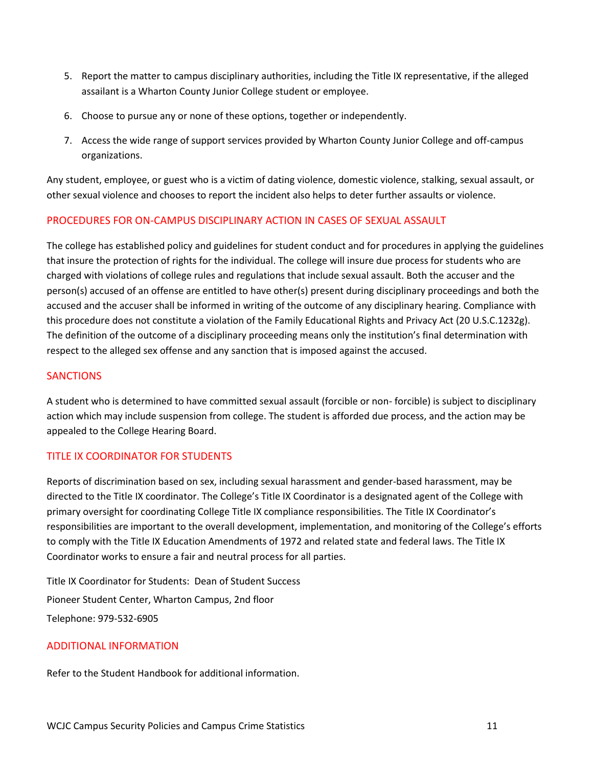- 5. Report the matter to campus disciplinary authorities, including the Title IX representative, if the alleged assailant is a Wharton County Junior College student or employee.
- 6. Choose to pursue any or none of these options, together or independently.
- 7. Access the wide range of support services provided by Wharton County Junior College and off-campus organizations.

Any student, employee, or guest who is a victim of dating violence, domestic violence, stalking, sexual assault, or other sexual violence and chooses to report the incident also helps to deter further assaults or violence.

### PROCEDURES FOR ON-CAMPUS DISCIPLINARY ACTION IN CASES OF SEXUAL ASSAULT

The college has established policy and guidelines for student conduct and for procedures in applying the guidelines that insure the protection of rights for the individual. The college will insure due process for students who are charged with violations of college rules and regulations that include sexual assault. Both the accuser and the person(s) accused of an offense are entitled to have other(s) present during disciplinary proceedings and both the accused and the accuser shall be informed in writing of the outcome of any disciplinary hearing. Compliance with this procedure does not constitute a violation of the Family Educational Rights and Privacy Act (20 U.S.C.1232g). The definition of the outcome of a disciplinary proceeding means only the institution's final determination with respect to the alleged sex offense and any sanction that is imposed against the accused.

### **SANCTIONS**

A student who is determined to have committed sexual assault (forcible or non- forcible) is subject to disciplinary action which may include suspension from college. The student is afforded due process, and the action may be appealed to the College Hearing Board.

### TITLE IX COORDINATOR FOR STUDENTS

Reports of discrimination based on sex, including sexual harassment and gender-based harassment, may be directed to the Title IX coordinator. The College's Title IX Coordinator is a designated agent of the College with primary oversight for coordinating College Title IX compliance responsibilities. The Title IX Coordinator's responsibilities are important to the overall development, implementation, and monitoring of the College's efforts to comply with the Title IX Education Amendments of 1972 and related state and federal laws. The Title IX Coordinator works to ensure a fair and neutral process for all parties.

Title IX Coordinator for Students: Dean of Student Success Pioneer Student Center, Wharton Campus, 2nd floor Telephone: 979-532-6905

#### ADDITIONAL INFORMATION

Refer to the Student Handbook for additional information.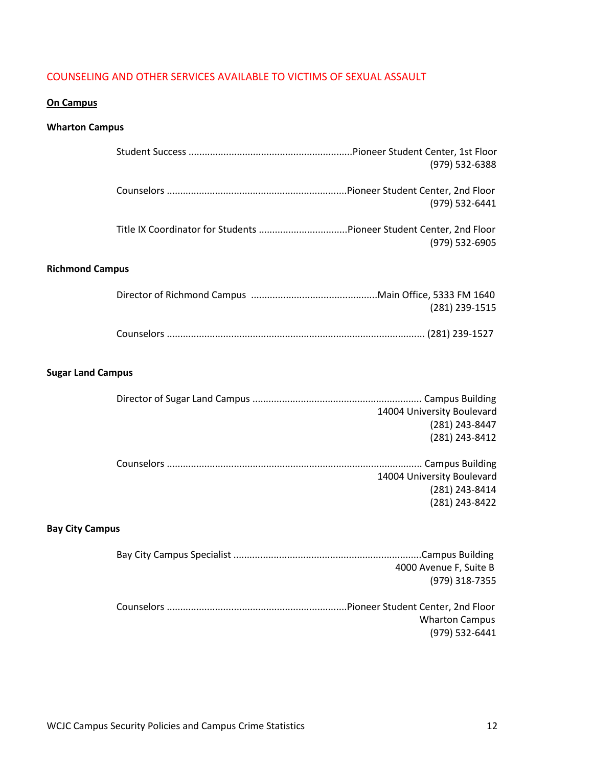### COUNSELING AND OTHER SERVICES AVAILABLE TO VICTIMS OF SEXUAL ASSAULT

### **On Campus**

### **Wharton Campus**

|                          | (979) 532-6388                                                 |
|--------------------------|----------------------------------------------------------------|
|                          | (979) 532-6441                                                 |
|                          | (979) 532-6905                                                 |
| <b>Richmond Campus</b>   |                                                                |
|                          | (281) 239-1515                                                 |
|                          |                                                                |
| <b>Sugar Land Campus</b> |                                                                |
|                          | 14004 University Boulevard<br>(281) 243-8447<br>(281) 243-8412 |
|                          | 14004 University Boulevard<br>(281) 243-8414<br>(281) 243-8422 |
| <b>Bay City Campus</b>   |                                                                |
|                          | 4000 Avenue F, Suite B<br>(979) 318-7355                       |
|                          | <b>Wharton Campus</b><br>(979) 532-6441                        |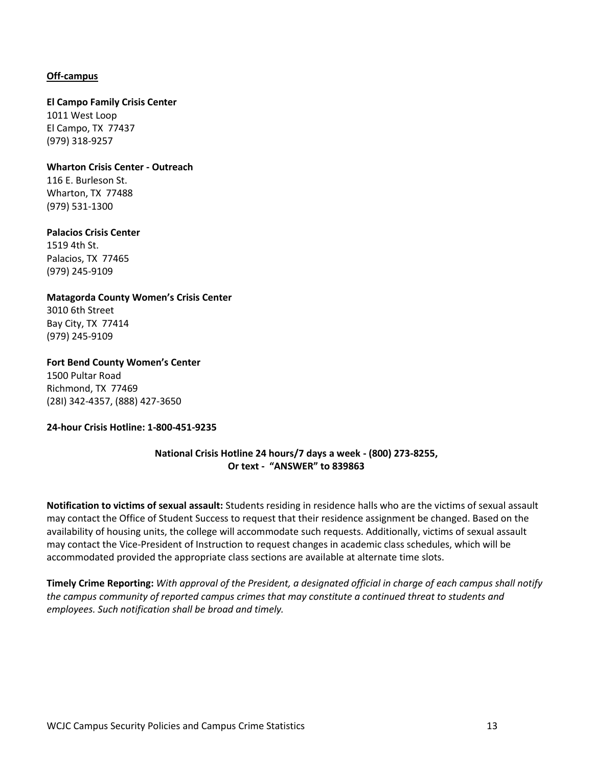#### **Off-campus**

#### **El Campo Family Crisis Center**

1011 West Loop El Campo, TX 77437 (979) 318-9257

#### **Wharton Crisis Center - Outreach** 116 E. Burleson St.

Wharton, TX 77488 (979) 531-1300

#### **Palacios Crisis Center**

1519 4th St. Palacios, TX 77465 (979) 245-9109

#### **Matagorda County Women's Crisis Center**

3010 6th Street Bay City, TX 77414 (979) 245-9109

#### **Fort Bend County Women's Center**

1500 Pultar Road Richmond, TX 77469 (28I) 342-4357, (888) 427-3650

#### **24-hour Crisis Hotline: 1-800-451-9235**

### **National Crisis Hotline 24 hours/7 days a week - (800) 273-8255, Or text - "ANSWER" to 839863**

**Notification to victims of sexual assault:** Students residing in residence halls who are the victims of sexual assault may contact the Office of Student Success to request that their residence assignment be changed. Based on the availability of housing units, the college will accommodate such requests. Additionally, victims of sexual assault may contact the Vice-President of Instruction to request changes in academic class schedules, which will be accommodated provided the appropriate class sections are available at alternate time slots.

**Timely Crime Reporting:** *With approval of the President, a designated official in charge of each campus shall notify the campus community of reported campus crimes that may constitute a continued threat to students and employees. Such notification shall be broad and timely.*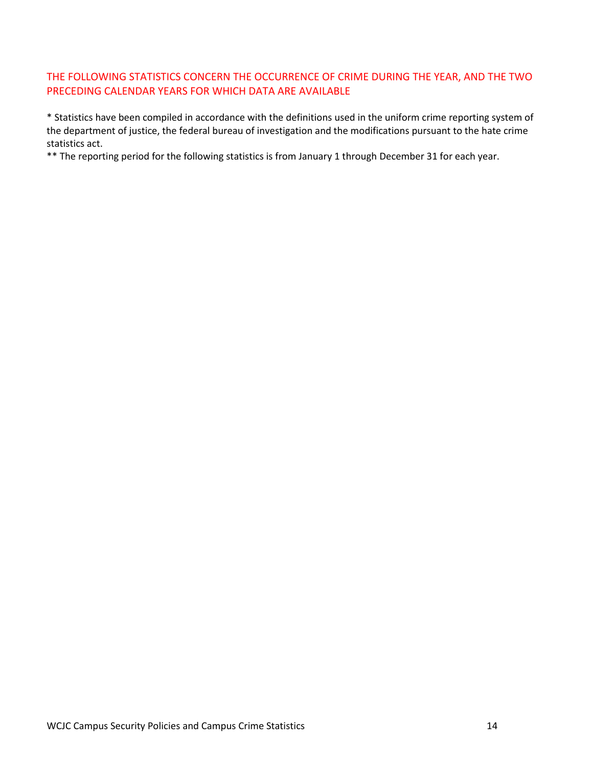### THE FOLLOWING STATISTICS CONCERN THE OCCURRENCE OF CRIME DURING THE YEAR, AND THE TWO PRECEDING CALENDAR YEARS FOR WHICH DATA ARE AVAILABLE

\* Statistics have been compiled in accordance with the definitions used in the uniform crime reporting system of the department of justice, the federal bureau of investigation and the modifications pursuant to the hate crime statistics act.

\*\* The reporting period for the following statistics is from January 1 through December 31 for each year.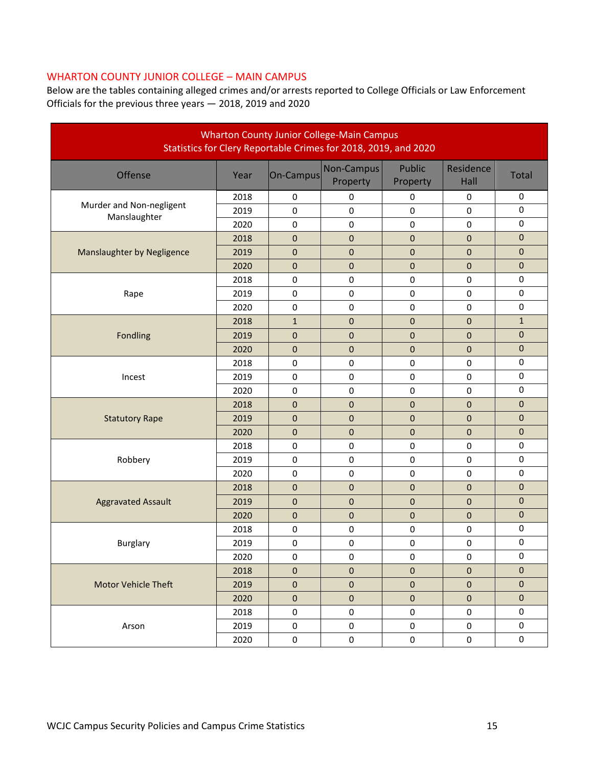### WHARTON COUNTY JUNIOR COLLEGE – MAIN CAMPUS

Below are the tables containing alleged crimes and/or arrests reported to College Officials or Law Enforcement Officials for the previous three years — 2018, 2019 and 2020

| <b>Wharton County Junior College-Main Campus</b><br>Statistics for Clery Reportable Crimes for 2018, 2019, and 2020 |      |                  |                        |                           |                   |                  |  |  |
|---------------------------------------------------------------------------------------------------------------------|------|------------------|------------------------|---------------------------|-------------------|------------------|--|--|
| Offense                                                                                                             | Year | On-Campus        | Non-Campus<br>Property | <b>Public</b><br>Property | Residence<br>Hall | <b>Total</b>     |  |  |
|                                                                                                                     | 2018 | $\mathbf 0$      | 0                      | $\mathbf 0$               | $\mathbf 0$       | 0                |  |  |
| Murder and Non-negligent<br>Manslaughter                                                                            | 2019 | $\mathbf 0$      | 0                      | $\pmb{0}$                 | $\mathbf 0$       | $\pmb{0}$        |  |  |
|                                                                                                                     | 2020 | $\pmb{0}$        | $\pmb{0}$              | $\pmb{0}$                 | $\mathbf 0$       | $\pmb{0}$        |  |  |
|                                                                                                                     | 2018 | 0                | $\pmb{0}$              | $\mathbf{0}$              | $\pmb{0}$         | $\overline{0}$   |  |  |
| Manslaughter by Negligence                                                                                          | 2019 | 0                | $\pmb{0}$              | $\mathbf 0$               | $\mathbf 0$       | $\mathbf 0$      |  |  |
|                                                                                                                     | 2020 | 0                | $\mathbf 0$            | $\mathbf{0}$              | $\mathbf 0$       | $\pmb{0}$        |  |  |
|                                                                                                                     | 2018 | $\pmb{0}$        | $\mathbf 0$            | $\pmb{0}$                 | $\mathbf 0$       | $\pmb{0}$        |  |  |
| Rape                                                                                                                | 2019 | $\pmb{0}$        | 0                      | 0                         | $\pmb{0}$         | 0                |  |  |
|                                                                                                                     | 2020 | $\pmb{0}$        | 0                      | $\pmb{0}$                 | $\mathbf 0$       | $\pmb{0}$        |  |  |
|                                                                                                                     | 2018 | $\mathbf{1}$     | $\pmb{0}$              | $\pmb{0}$                 | $\pmb{0}$         | $\mathbf{1}$     |  |  |
| Fondling                                                                                                            | 2019 | $\pmb{0}$        | $\pmb{0}$              | $\pmb{0}$                 | $\pmb{0}$         | $\pmb{0}$        |  |  |
|                                                                                                                     | 2020 | 0                | $\overline{0}$         | $\pmb{0}$                 | $\mathbf 0$       | $\mathbf 0$      |  |  |
|                                                                                                                     | 2018 | $\mathbf 0$      | 0                      | 0                         | $\mathbf 0$       | $\pmb{0}$        |  |  |
| Incest                                                                                                              | 2019 | $\pmb{0}$        | $\pmb{0}$              | $\pmb{0}$                 | 0                 | $\pmb{0}$        |  |  |
|                                                                                                                     | 2020 | $\boldsymbol{0}$ | $\pmb{0}$              | $\pmb{0}$                 | $\pmb{0}$         | $\boldsymbol{0}$ |  |  |
|                                                                                                                     | 2018 | 0                | $\pmb{0}$              | $\pmb{0}$                 | $\pmb{0}$         | $\pmb{0}$        |  |  |
| <b>Statutory Rape</b>                                                                                               | 2019 | 0                | 0                      | $\mathbf 0$               | $\pmb{0}$         | $\pmb{0}$        |  |  |
|                                                                                                                     | 2020 | $\overline{0}$   | 0                      | $\mathbf 0$               | $\mathbf 0$       | $\mathbf 0$      |  |  |
|                                                                                                                     | 2018 | $\pmb{0}$        | 0                      | 0                         | $\mathbf 0$       | 0                |  |  |
| Robbery                                                                                                             | 2019 | $\boldsymbol{0}$ | $\pmb{0}$              | $\pmb{0}$                 | $\pmb{0}$         | $\pmb{0}$        |  |  |
|                                                                                                                     | 2020 | $\pmb{0}$        | 0                      | $\pmb{0}$                 | $\pmb{0}$         | $\pmb{0}$        |  |  |
|                                                                                                                     | 2018 | 0                | 0                      | $\mathbf{0}$              | $\mathbf 0$       | $\pmb{0}$        |  |  |
| <b>Aggravated Assault</b>                                                                                           | 2019 | 0                | 0                      | $\mathbf 0$               | $\pmb{0}$         | $\pmb{0}$        |  |  |
|                                                                                                                     | 2020 | $\pmb{0}$        | $\pmb{0}$              | $\pmb{0}$                 | $\pmb{0}$         | $\mathbf{0}$     |  |  |
|                                                                                                                     | 2018 | $\pmb{0}$        | $\pmb{0}$              | $\pmb{0}$                 | $\pmb{0}$         | $\mathbf 0$      |  |  |
| <b>Burglary</b>                                                                                                     | 2019 | 0                | 0                      | $\pmb{0}$                 | 0                 | $\pmb{0}$        |  |  |
|                                                                                                                     | 2020 | 0                | 0                      | $\pmb{0}$                 | $\pmb{0}$         | 0                |  |  |
|                                                                                                                     | 2018 | $\mathbf{0}$     | $\mathbf{0}$           | $\mathbf{0}$              | $\mathbf{0}$      | $\mathbf 0$      |  |  |
| <b>Motor Vehicle Theft</b>                                                                                          | 2019 | $\mathbf 0$      | $\mathbf 0$            | $\mathbf 0$               | $\pmb{0}$         | $\boldsymbol{0}$ |  |  |
|                                                                                                                     | 2020 | $\mathbf{0}$     | $\pmb{0}$              | $\pmb{0}$                 | $\mathbf{0}$      | $\overline{0}$   |  |  |
|                                                                                                                     | 2018 | $\mathbf 0$      | $\pmb{0}$              | 0                         | 0                 | 0                |  |  |
| Arson                                                                                                               | 2019 | 0                | 0                      | 0                         | 0                 | $\boldsymbol{0}$ |  |  |
|                                                                                                                     | 2020 | $\mathbf 0$      | $\pmb{0}$              | $\pmb{0}$                 | $\pmb{0}$         | 0                |  |  |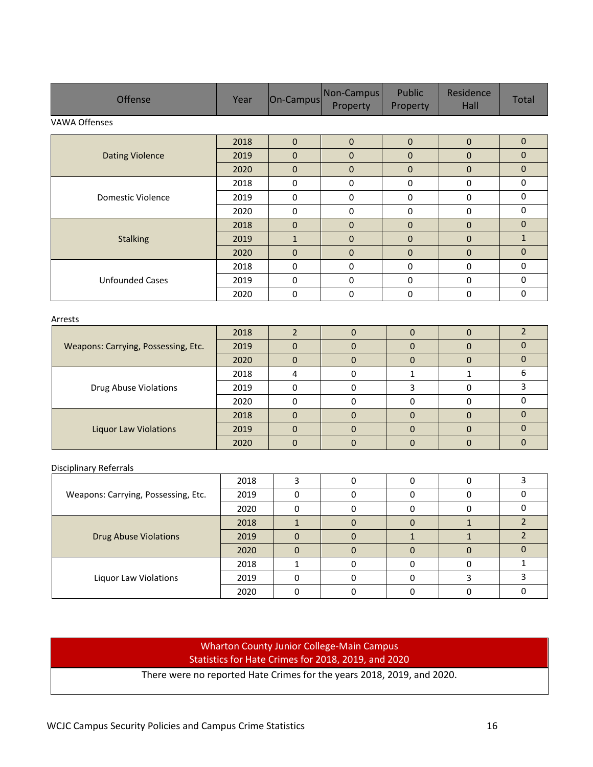| <b>Offense</b>         | Year | On-Campus    | Non-Campus<br>Property | Public<br>Property | Residence<br>Hall | Total        |
|------------------------|------|--------------|------------------------|--------------------|-------------------|--------------|
| VAWA Offenses          |      |              |                        |                    |                   |              |
|                        | 2018 | $\mathbf{0}$ | $\mathbf{0}$           | $\mathbf{0}$       | $\Omega$          | $\mathbf{0}$ |
| <b>Dating Violence</b> | 2019 | $\mathbf{0}$ | $\overline{0}$         | $\mathbf 0$        | $\mathbf{0}$      | $\mathbf{0}$ |
|                        | 2020 | $\mathbf{0}$ | $\mathbf{0}$           | $\mathbf 0$        | $\mathbf{0}$      | $\mathbf{0}$ |
|                        | 2018 | $\mathbf 0$  | 0                      | $\mathbf 0$        | $\mathbf{0}$      | 0            |
| Domestic Violence      | 2019 | 0            | 0                      | $\bf{0}$           | 0                 | $\Omega$     |
|                        | 2020 | $\mathbf 0$  | $\mathbf 0$            | $\mathbf 0$        | $\mathbf{0}$      | $\mathbf{0}$ |
|                        | 2018 | $\mathbf{0}$ | $\mathbf{0}$           | $\mathbf{0}$       | $\Omega$          | $\Omega$     |
| <b>Stalking</b>        | 2019 | $\mathbf{1}$ | $\overline{0}$         | $\mathbf 0$        | $\mathbf{0}$      | $\mathbf{1}$ |
|                        | 2020 | $\mathbf{0}$ | $\overline{0}$         | $\mathbf{0}$       | $\mathbf{0}$      | $\mathbf{0}$ |
|                        | 2018 | 0            | $\mathbf{0}$           | 0                  | $\mathbf{0}$      | $\Omega$     |
| <b>Unfounded Cases</b> | 2019 | 0            | 0                      | $\bf{0}$           | 0                 | 0            |
|                        | 2020 | 0            | 0                      | $\mathbf 0$        | 0                 | $\mathbf{0}$ |

#### Arrests

| Weapons: Carrying, Possessing, Etc. | 2018 |   |  |  |
|-------------------------------------|------|---|--|--|
|                                     | 2019 |   |  |  |
|                                     | 2020 |   |  |  |
| <b>Drug Abuse Violations</b>        | 2018 |   |  |  |
|                                     | 2019 |   |  |  |
|                                     | 2020 |   |  |  |
| <b>Liquor Law Violations</b>        | 2018 | O |  |  |
|                                     | 2019 |   |  |  |
|                                     | 2020 |   |  |  |

#### Disciplinary Referrals

|                                     | 2018 |  |  |  |
|-------------------------------------|------|--|--|--|
| Weapons: Carrying, Possessing, Etc. | 2019 |  |  |  |
|                                     | 2020 |  |  |  |
|                                     | 2018 |  |  |  |
| <b>Drug Abuse Violations</b>        | 2019 |  |  |  |
|                                     | 2020 |  |  |  |
|                                     | 2018 |  |  |  |
| Liquor Law Violations               | 2019 |  |  |  |
|                                     | 2020 |  |  |  |

### Wharton County Junior College-Main Campus Statistics for Hate Crimes for 2018, 2019, and 2020

There were no reported Hate Crimes for the years 2018, 2019, and 2020.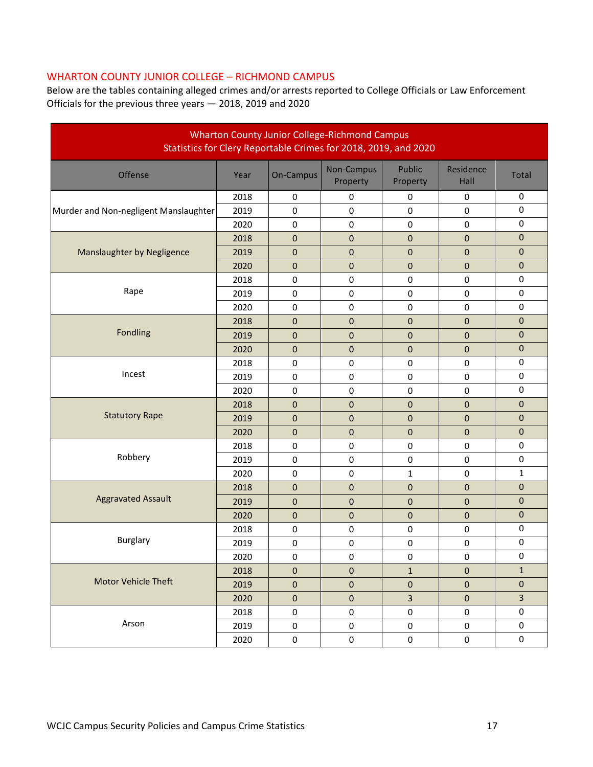### WHARTON COUNTY JUNIOR COLLEGE – RICHMOND CAMPUS

Below are the tables containing alleged crimes and/or arrests reported to College Officials or Law Enforcement Officials for the previous three years — 2018, 2019 and 2020

| <b>Wharton County Junior College-Richmond Campus</b><br>Statistics for Clery Reportable Crimes for 2018, 2019, and 2020 |      |              |                        |                    |                   |                  |  |  |
|-------------------------------------------------------------------------------------------------------------------------|------|--------------|------------------------|--------------------|-------------------|------------------|--|--|
| Offense                                                                                                                 | Year | On-Campus    | Non-Campus<br>Property | Public<br>Property | Residence<br>Hall | <b>Total</b>     |  |  |
|                                                                                                                         | 2018 | 0            | $\bf{0}$               | 0                  | 0                 | $\pmb{0}$        |  |  |
| Murder and Non-negligent Manslaughter                                                                                   | 2019 | $\mathbf 0$  | $\pmb{0}$              | $\pmb{0}$          | 0                 | $\pmb{0}$        |  |  |
|                                                                                                                         | 2020 | $\bf{0}$     | $\bf{0}$               | 0                  | 0                 | $\pmb{0}$        |  |  |
|                                                                                                                         | 2018 | $\pmb{0}$    | $\mathbf{0}$           | $\pmb{0}$          | $\overline{0}$    | $\mathbf 0$      |  |  |
| Manslaughter by Negligence                                                                                              | 2019 | $\pmb{0}$    | $\pmb{0}$              | 0                  | $\mathbf 0$       | $\pmb{0}$        |  |  |
|                                                                                                                         | 2020 | $\pmb{0}$    | $\pmb{0}$              | $\pmb{0}$          | 0                 | $\pmb{0}$        |  |  |
|                                                                                                                         | 2018 | $\pmb{0}$    | $\pmb{0}$              | $\pmb{0}$          | 0                 | $\pmb{0}$        |  |  |
| Rape                                                                                                                    | 2019 | $\mathbf 0$  | $\pmb{0}$              | $\pmb{0}$          | $\pmb{0}$         | $\pmb{0}$        |  |  |
|                                                                                                                         | 2020 | $\pmb{0}$    | $\pmb{0}$              | $\pmb{0}$          | $\pmb{0}$         | $\pmb{0}$        |  |  |
|                                                                                                                         | 2018 | $\pmb{0}$    | $\boldsymbol{0}$       | $\pmb{0}$          | $\mathbf 0$       | $\mathbf 0$      |  |  |
| Fondling                                                                                                                | 2019 | $\pmb{0}$    | $\pmb{0}$              | $\pmb{0}$          | $\pmb{0}$         | $\pmb{0}$        |  |  |
|                                                                                                                         | 2020 | $\pmb{0}$    | $\mathbf{0}$           | $\pmb{0}$          | $\overline{0}$    | $\mathbf 0$      |  |  |
|                                                                                                                         | 2018 | 0            | $\pmb{0}$              | $\pmb{0}$          | $\pmb{0}$         | $\pmb{0}$        |  |  |
| Incest                                                                                                                  | 2019 | $\pmb{0}$    | $\pmb{0}$              | $\pmb{0}$          | $\pmb{0}$         | $\pmb{0}$        |  |  |
|                                                                                                                         | 2020 | $\pmb{0}$    | $\pmb{0}$              | $\pmb{0}$          | $\pmb{0}$         | $\pmb{0}$        |  |  |
|                                                                                                                         | 2018 | 0            | 0                      | 0                  | 0                 | $\boldsymbol{0}$ |  |  |
| <b>Statutory Rape</b>                                                                                                   | 2019 | $\pmb{0}$    | $\mathbf{0}$           | $\pmb{0}$          | $\overline{0}$    | $\mathbf 0$      |  |  |
|                                                                                                                         | 2020 | $\mathbf 0$  | $\pmb{0}$              | $\pmb{0}$          | 0                 | $\mathbf 0$      |  |  |
|                                                                                                                         | 2018 | $\pmb{0}$    | $\pmb{0}$              | $\pmb{0}$          | $\pmb{0}$         | $\pmb{0}$        |  |  |
| Robbery                                                                                                                 | 2019 | $\pmb{0}$    | $\pmb{0}$              | $\pmb{0}$          | 0                 | $\pmb{0}$        |  |  |
|                                                                                                                         | 2020 | $\pmb{0}$    | $\pmb{0}$              | $\mathbf 1$        | 0                 | 1                |  |  |
|                                                                                                                         | 2018 | $\pmb{0}$    | $\pmb{0}$              | $\pmb{0}$          | 0                 | $\pmb{0}$        |  |  |
| <b>Aggravated Assault</b>                                                                                               | 2019 | $\pmb{0}$    | $\boldsymbol{0}$       | $\pmb{0}$          | $\mathbf 0$       | $\mathbf 0$      |  |  |
|                                                                                                                         | 2020 | $\mathbf 0$  | $\mathbf 0$            | $\pmb{0}$          | 0                 | 0                |  |  |
|                                                                                                                         | 2018 | $\pmb{0}$    | $\pmb{0}$              | $\pmb{0}$          | $\pmb{0}$         | $\pmb{0}$        |  |  |
| <b>Burglary</b>                                                                                                         | 2019 | 0            | $\pmb{0}$              | $\pmb{0}$          | $\pmb{0}$         | $\pmb{0}$        |  |  |
|                                                                                                                         | 2020 | $\pmb{0}$    | $\pmb{0}$              | $\pmb{0}$          | $\pmb{0}$         | $\pmb{0}$        |  |  |
|                                                                                                                         | 2018 | $\mathbf{0}$ | $\mathbf{0}$           | $\mathbf{1}$       | $\mathbf{0}$      | $\mathbf{1}$     |  |  |
| <b>Motor Vehicle Theft</b>                                                                                              | 2019 | $\pmb{0}$    | $\pmb{0}$              | $\pmb{0}$          | $\pmb{0}$         | $\mathbf{0}$     |  |  |
|                                                                                                                         | 2020 | $\mathbf 0$  | $\pmb{0}$              | $\overline{3}$     | $\mathbf{0}$      | $\overline{3}$   |  |  |
|                                                                                                                         | 2018 | 0            | $\pmb{0}$              | $\pmb{0}$          | $\boldsymbol{0}$  | 0                |  |  |
| Arson                                                                                                                   | 2019 | 0            | $\boldsymbol{0}$       | $\pmb{0}$          | $\mathbf 0$       | 0                |  |  |
|                                                                                                                         | 2020 | 0            | $\pmb{0}$              | $\mathbf 0$        | $\mathbf 0$       | 0                |  |  |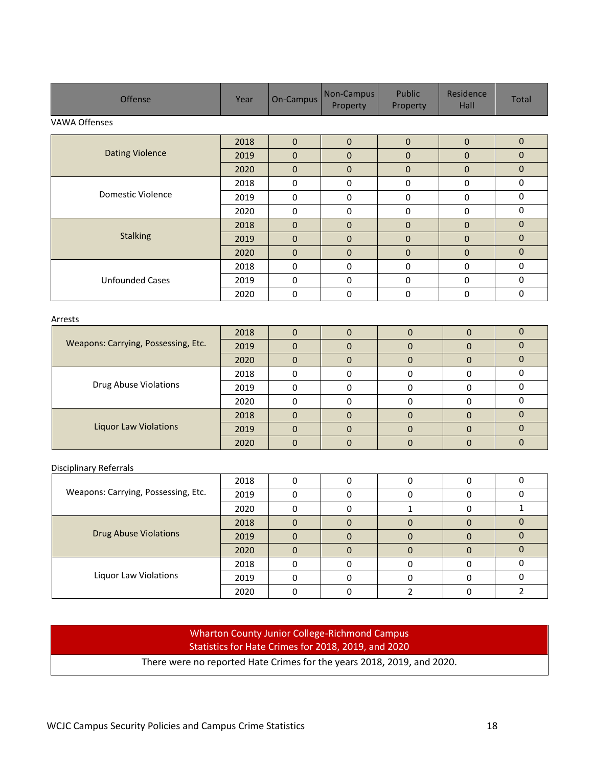| <b>Offense</b>         | Year | On-Campus    | Non-Campus<br>Property | Public<br>Property | Residence<br>Hall | Total        |
|------------------------|------|--------------|------------------------|--------------------|-------------------|--------------|
| VAWA Offenses          |      |              |                        |                    |                   |              |
|                        | 2018 | $\mathbf{0}$ | $\Omega$               | $\mathbf{0}$       | $\mathbf{0}$      | $\mathbf{0}$ |
| <b>Dating Violence</b> | 2019 | $\mathbf{0}$ | $\mathbf 0$            | $\mathbf{0}$       | $\mathbf 0$       | $\mathbf{0}$ |
|                        | 2020 | $\mathbf{0}$ | $\Omega$               | $\mathbf{0}$       | $\mathbf{0}$      | $\mathbf{0}$ |
|                        | 2018 | $\mathbf 0$  | $\Omega$               | $\mathbf 0$        | 0                 | $\Omega$     |
| Domestic Violence      | 2019 | $\mathbf 0$  | 0                      | 0                  | 0                 | 0            |
|                        | 2020 | $\Omega$     | $\Omega$               | $\mathbf 0$        | $\Omega$          | $\mathbf 0$  |
|                        | 2018 | $\mathbf{0}$ | $\Omega$               | $\mathbf{0}$       | $\mathbf{0}$      | $\mathbf{0}$ |
| <b>Stalking</b>        | 2019 | $\mathbf{0}$ | $\mathbf{0}$           | $\mathbf{0}$       | $\mathbf 0$       | $\mathbf{0}$ |
|                        | 2020 | $\mathbf{0}$ | $\Omega$               | $\mathbf{0}$       | $\mathbf{0}$      | $\mathbf{0}$ |
|                        | 2018 | $\mathbf 0$  | $\Omega$               | $\mathbf 0$        | 0                 | $\Omega$     |
| <b>Unfounded Cases</b> | 2019 | 0            | $\mathbf{0}$           | 0                  | 0                 | $\mathbf 0$  |
|                        | 2020 | $\mathbf 0$  | $\Omega$               | $\mathbf 0$        | 0                 | $\mathbf 0$  |

#### Arrests

| Weapons: Carrying, Possessing, Etc. | 2018 |  |  |  |
|-------------------------------------|------|--|--|--|
|                                     | 2019 |  |  |  |
|                                     | 2020 |  |  |  |
|                                     | 2018 |  |  |  |
| <b>Drug Abuse Violations</b>        | 2019 |  |  |  |
|                                     | 2020 |  |  |  |
|                                     | 2018 |  |  |  |
| <b>Liquor Law Violations</b>        | 2019 |  |  |  |
|                                     | 2020 |  |  |  |

#### Disciplinary Referrals

|                                     | 2018 |  |  |  |
|-------------------------------------|------|--|--|--|
| Weapons: Carrying, Possessing, Etc. | 2019 |  |  |  |
|                                     | 2020 |  |  |  |
|                                     | 2018 |  |  |  |
| <b>Drug Abuse Violations</b>        | 2019 |  |  |  |
|                                     | 2020 |  |  |  |
|                                     | 2018 |  |  |  |
| Liquor Law Violations               | 2019 |  |  |  |
|                                     | 2020 |  |  |  |

### Wharton County Junior College-Richmond Campus Statistics for Hate Crimes for 2018, 2019, and 2020

There were no reported Hate Crimes for the years 2018, 2019, and 2020.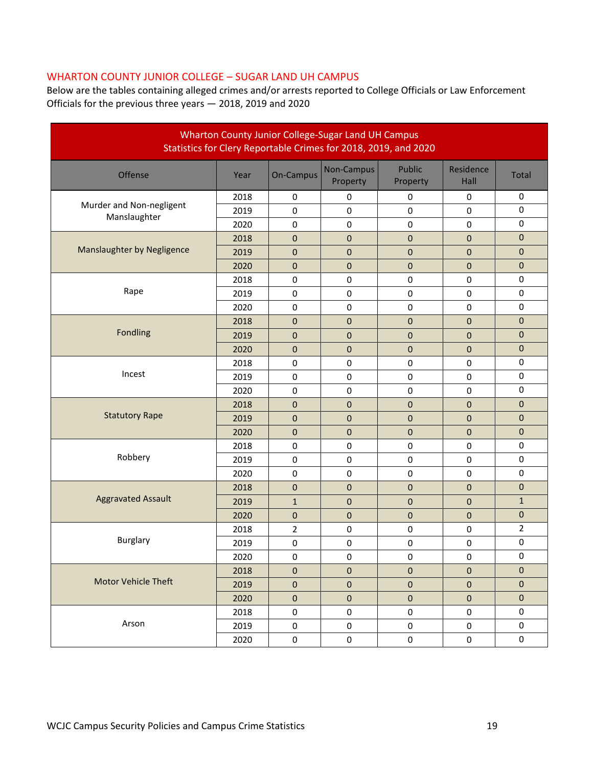### WHARTON COUNTY JUNIOR COLLEGE – SUGAR LAND UH CAMPUS

Below are the tables containing alleged crimes and/or arrests reported to College Officials or Law Enforcement Officials for the previous three years — 2018, 2019 and 2020

| Wharton County Junior College-Sugar Land UH Campus<br>Statistics for Clery Reportable Crimes for 2018, 2019, and 2020 |      |                |                        |                    |                   |                |  |  |
|-----------------------------------------------------------------------------------------------------------------------|------|----------------|------------------------|--------------------|-------------------|----------------|--|--|
| Offense                                                                                                               | Year | On-Campus      | Non-Campus<br>Property | Public<br>Property | Residence<br>Hall | Total          |  |  |
|                                                                                                                       | 2018 | $\pmb{0}$      | $\pmb{0}$              | $\mathbf 0$        | $\pmb{0}$         | $\pmb{0}$      |  |  |
| Murder and Non-negligent<br>Manslaughter                                                                              | 2019 | $\mathbf 0$    | $\mathbf 0$            | 0                  | $\mathbf 0$       | $\mathbf 0$    |  |  |
|                                                                                                                       | 2020 | $\bf{0}$       | $\mathbf 0$            | 0                  | 0                 | $\mathbf 0$    |  |  |
|                                                                                                                       | 2018 | $\mathbf{0}$   | $\mathbf 0$            | $\boldsymbol{0}$   | $\mathbf{0}$      | $\mathbf{0}$   |  |  |
| <b>Manslaughter by Negligence</b>                                                                                     | 2019 | $\mathbf 0$    | $\pmb{0}$              | $\boldsymbol{0}$   | $\mathbf 0$       | $\pmb{0}$      |  |  |
|                                                                                                                       | 2020 | $\pmb{0}$      | $\pmb{0}$              | $\pmb{0}$          | $\pmb{0}$         | $\mathbf 0$    |  |  |
|                                                                                                                       | 2018 | $\pmb{0}$      | $\mathbf 0$            | 0                  | 0                 | $\mathbf 0$    |  |  |
| Rape                                                                                                                  | 2019 | $\mathbf 0$    | $\mathbf 0$            | 0                  | 0                 | $\pmb{0}$      |  |  |
|                                                                                                                       | 2020 | $\pmb{0}$      | $\mathbf 0$            | $\pmb{0}$          | $\pmb{0}$         | $\pmb{0}$      |  |  |
|                                                                                                                       | 2018 | $\pmb{0}$      | $\pmb{0}$              | $\pmb{0}$          | $\pmb{0}$         | $\pmb{0}$      |  |  |
| Fondling                                                                                                              | 2019 | $\pmb{0}$      | $\pmb{0}$              | $\pmb{0}$          | $\pmb{0}$         | $\mathbf 0$    |  |  |
|                                                                                                                       | 2020 | $\mathbf{0}$   | $\mathbf 0$            | $\boldsymbol{0}$   | $\mathbf 0$       | $\pmb{0}$      |  |  |
|                                                                                                                       | 2018 | 0              | $\pmb{0}$              | $\pmb{0}$          | 0                 | $\pmb{0}$      |  |  |
| Incest                                                                                                                | 2019 | $\pmb{0}$      | $\mathbf 0$            | $\pmb{0}$          | $\mathbf 0$       | $\pmb{0}$      |  |  |
|                                                                                                                       | 2020 | $\pmb{0}$      | $\mathbf 0$            | $\pmb{0}$          | $\mathbf 0$       | $\mathbf 0$    |  |  |
|                                                                                                                       | 2018 | 0              | $\pmb{0}$              | 0                  | 0                 | $\mathbf{0}$   |  |  |
| <b>Statutory Rape</b>                                                                                                 | 2019 | $\mathbf{0}$   | $\mathbf 0$            | $\boldsymbol{0}$   | $\mathbf{0}$      | $\mathbf{0}$   |  |  |
|                                                                                                                       | 2020 | $\mathbf 0$    | $\pmb{0}$              | $\boldsymbol{0}$   | $\pmb{0}$         | $\pmb{0}$      |  |  |
|                                                                                                                       | 2018 | $\pmb{0}$      | $\pmb{0}$              | $\pmb{0}$          | $\pmb{0}$         | $\mathbf 0$    |  |  |
| Robbery                                                                                                               | 2019 | $\pmb{0}$      | $\pmb{0}$              | 0                  | 0                 | $\mathbf 0$    |  |  |
|                                                                                                                       | 2020 | $\pmb{0}$      | $\pmb{0}$              | $\pmb{0}$          | $\pmb{0}$         | $\pmb{0}$      |  |  |
|                                                                                                                       | 2018 | $\pmb{0}$      | $\pmb{0}$              | 0                  | $\pmb{0}$         | $\pmb{0}$      |  |  |
| <b>Aggravated Assault</b>                                                                                             | 2019 | $\mathbf{1}$   | $\pmb{0}$              | $\mathbf 0$        | $\pmb{0}$         | $1\,$          |  |  |
|                                                                                                                       | 2020 | $\mathbf 0$    | $\pmb{0}$              | 0                  | $\pmb{0}$         | $\mathbf 0$    |  |  |
|                                                                                                                       | 2018 | $\overline{2}$ | $\pmb{0}$              | $\pmb{0}$          | $\pmb{0}$         | $\overline{2}$ |  |  |
| <b>Burglary</b>                                                                                                       | 2019 | $\pmb{0}$      | $\pmb{0}$              | $\pmb{0}$          | $\pmb{0}$         | $\pmb{0}$      |  |  |
|                                                                                                                       | 2020 | $\pmb{0}$      | $\pmb{0}$              | 0                  | $\pmb{0}$         | $\mathbf 0$    |  |  |
|                                                                                                                       | 2018 | $\mathbf{0}$   | $\pmb{0}$              | 0                  | $\pmb{0}$         | $\mathbf{0}$   |  |  |
| <b>Motor Vehicle Theft</b>                                                                                            | 2019 | $\pmb{0}$      | $\pmb{0}$              | $\pmb{0}$          | $\pmb{0}$         | $\mathbf{0}$   |  |  |
|                                                                                                                       | 2020 | $\mathbf 0$    | $\mathbf 0$            | $\pmb{0}$          | $\mathbf{0}$      | $\mathbf{0}$   |  |  |
|                                                                                                                       | 2018 | 0              | $\pmb{0}$              | $\pmb{0}$          | $\boldsymbol{0}$  | $\mathbf 0$    |  |  |
| Arson                                                                                                                 | 2019 | 0              | $\pmb{0}$              | 0                  | 0                 | 0              |  |  |
|                                                                                                                       | 2020 | $\mathbf 0$    | $\mathbf 0$            | $\mathbf 0$        | $\boldsymbol{0}$  | 0              |  |  |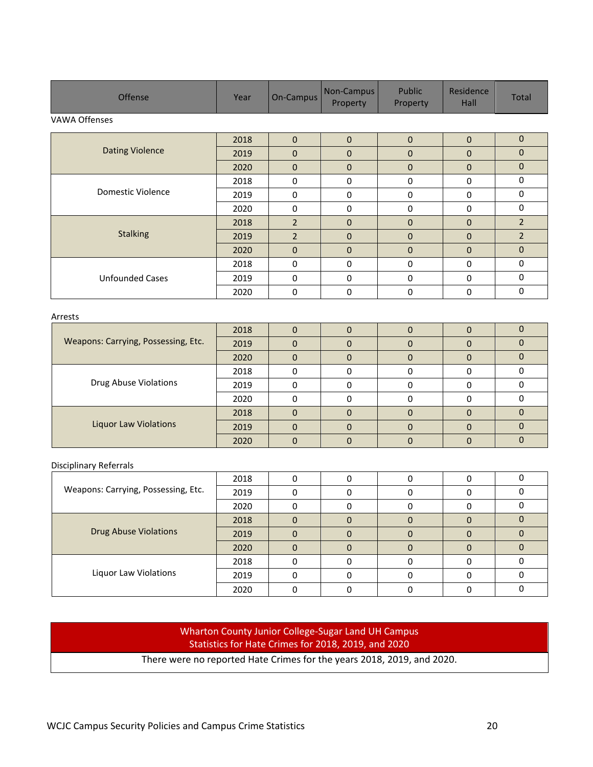| <b>Offense</b>         | Year | On-Campus      | Non-Campus<br>Property | Public<br>Property | Residence<br>Hall | <b>Total</b>   |
|------------------------|------|----------------|------------------------|--------------------|-------------------|----------------|
| VAWA Offenses          |      |                |                        |                    |                   |                |
|                        | 2018 | $\mathbf{0}$   | $\Omega$               | $\mathbf{0}$       | $\Omega$          | $\mathbf{0}$   |
| <b>Dating Violence</b> | 2019 | $\overline{0}$ | $\mathbf{0}$           | $\mathbf 0$        | $\mathbf{0}$      | $\overline{0}$ |
|                        | 2020 | $\mathbf{0}$   | $\mathbf{0}$           | $\mathbf 0$        | $\Omega$          | $\mathbf{0}$   |
|                        | 2018 | 0              | $\Omega$               | 0                  | $\Omega$          | 0              |
| Domestic Violence      | 2019 | 0              | $\Omega$               | 0                  | $\Omega$          | 0              |
|                        | 2020 | $\mathbf 0$    | $\Omega$               | $\mathbf 0$        | $\Omega$          | $\mathbf 0$    |
|                        | 2018 | $\overline{2}$ | $\mathbf{0}$           | $\mathbf{0}$       | $\Omega$          | $\overline{2}$ |
| <b>Stalking</b>        | 2019 | $\overline{2}$ | $\mathbf{0}$           | $\mathbf{0}$       | $\mathbf{0}$      | $\overline{2}$ |
|                        | 2020 | $\mathbf{0}$   | $\mathbf{0}$           | $\mathbf{0}$       | $\mathbf{0}$      | $\mathbf{0}$   |
|                        | 2018 | $\mathbf 0$    | $\mathbf 0$            | 0                  | $\Omega$          | $\Omega$       |
| <b>Unfounded Cases</b> | 2019 | 0              | $\mathbf 0$            | 0                  | $\Omega$          | $\mathbf 0$    |
|                        | 2020 | 0              | $\Omega$               | 0                  | $\Omega$          | 0              |

#### Arrests

| Weapons: Carrying, Possessing, Etc. | 2018 |   |  |  |
|-------------------------------------|------|---|--|--|
|                                     | 2019 | O |  |  |
|                                     | 2020 | 0 |  |  |
|                                     | 2018 | 0 |  |  |
| Drug Abuse Violations               | 2019 |   |  |  |
|                                     | 2020 |   |  |  |
|                                     | 2018 | O |  |  |
| <b>Liquor Law Violations</b>        | 2019 |   |  |  |
|                                     | 2020 |   |  |  |

#### Disciplinary Referrals

|                                     | 2018 |   |  |  |
|-------------------------------------|------|---|--|--|
| Weapons: Carrying, Possessing, Etc. | 2019 |   |  |  |
|                                     | 2020 |   |  |  |
| <b>Drug Abuse Violations</b>        | 2018 |   |  |  |
|                                     | 2019 | 0 |  |  |
|                                     | 2020 |   |  |  |
| Liquor Law Violations               | 2018 |   |  |  |
|                                     | 2019 |   |  |  |
|                                     | 2020 |   |  |  |

### Wharton County Junior College-Sugar Land UH Campus Statistics for Hate Crimes for 2018, 2019, and 2020

There were no reported Hate Crimes for the years 2018, 2019, and 2020.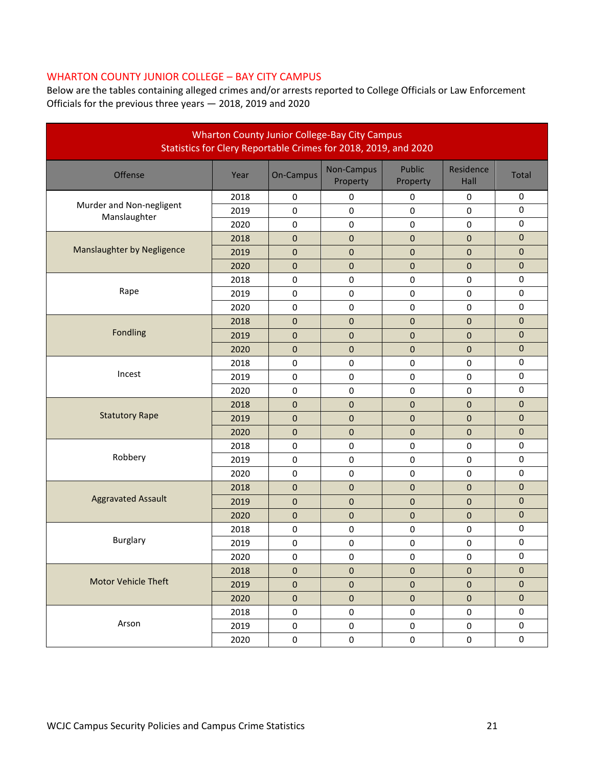### WHARTON COUNTY JUNIOR COLLEGE – BAY CITY CAMPUS

Below are the tables containing alleged crimes and/or arrests reported to College Officials or Law Enforcement Officials for the previous three years — 2018, 2019 and 2020

| <b>Wharton County Junior College-Bay City Campus</b><br>Statistics for Clery Reportable Crimes for 2018, 2019, and 2020 |      |                  |                        |                    |                   |                  |  |
|-------------------------------------------------------------------------------------------------------------------------|------|------------------|------------------------|--------------------|-------------------|------------------|--|
| Offense                                                                                                                 | Year | On-Campus        | Non-Campus<br>Property | Public<br>Property | Residence<br>Hall | <b>Total</b>     |  |
|                                                                                                                         | 2018 | $\pmb{0}$        | 0                      | $\pmb{0}$          | $\pmb{0}$         | $\pmb{0}$        |  |
| Murder and Non-negligent<br>Manslaughter                                                                                | 2019 | $\mathbf 0$      | $\mathbf 0$            | $\mathbf 0$        | $\mathbf 0$       | $\pmb{0}$        |  |
|                                                                                                                         | 2020 | 0                | $\pmb{0}$              | $\pmb{0}$          | 0                 | 0                |  |
|                                                                                                                         | 2018 | $\boldsymbol{0}$ | $\mathbf{0}$           | $\boldsymbol{0}$   | $\mathbf 0$       | 0                |  |
| Manslaughter by Negligence                                                                                              | 2019 | $\boldsymbol{0}$ | $\pmb{0}$              | $\mathbf 0$        | 0                 | 0                |  |
|                                                                                                                         | 2020 | $\mathbf 0$      | $\pmb{0}$              | $\boldsymbol{0}$   | $\pmb{0}$         | 0                |  |
|                                                                                                                         | 2018 | 0                | $\pmb{0}$              | $\pmb{0}$          | $\mathbf 0$       | 0                |  |
| Rape                                                                                                                    | 2019 | 0                | 0                      | $\bf{0}$           | 0                 | 0                |  |
|                                                                                                                         | 2020 | 0                | 0                      | $\mathbf 0$        | $\mathbf 0$       | $\pmb{0}$        |  |
|                                                                                                                         | 2018 | 0                | $\pmb{0}$              | $\boldsymbol{0}$   | 0                 | $\boldsymbol{0}$ |  |
| Fondling                                                                                                                | 2019 | $\boldsymbol{0}$ | $\pmb{0}$              | $\pmb{0}$          | 0                 | 0                |  |
|                                                                                                                         | 2020 | $\boldsymbol{0}$ | $\pmb{0}$              | $\boldsymbol{0}$   | $\mathbf 0$       | 0                |  |
|                                                                                                                         | 2018 | 0                | 0                      | $\mathbf 0$        | $\mathbf 0$       | $\pmb{0}$        |  |
| Incest                                                                                                                  | 2019 | 0                | 0                      | $\bf{0}$           | $\pmb{0}$         | 0                |  |
|                                                                                                                         | 2020 | $\pmb{0}$        | $\pmb{0}$              | $\pmb{0}$          | $\pmb{0}$         | $\pmb{0}$        |  |
|                                                                                                                         | 2018 | 0                | $\pmb{0}$              | $\pmb{0}$          | $\mathbf{0}$      | 0                |  |
| <b>Statutory Rape</b>                                                                                                   | 2019 | $\boldsymbol{0}$ | $\mathbf{0}$           | $\overline{0}$     | $\overline{0}$    | 0                |  |
|                                                                                                                         | 2020 | $\boldsymbol{0}$ | $\pmb{0}$              | $\boldsymbol{0}$   | 0                 | 0                |  |
|                                                                                                                         | 2018 | 0                | $\pmb{0}$              | $\pmb{0}$          | $\pmb{0}$         | $\pmb{0}$        |  |
| Robbery                                                                                                                 | 2019 | 0                | 0                      | $\pmb{0}$          | $\pmb{0}$         | 0                |  |
|                                                                                                                         | 2020 | 0                | $\pmb{0}$              | $\pmb{0}$          | $\pmb{0}$         | 0                |  |
|                                                                                                                         | 2018 | $\overline{0}$   | $\mathbf{0}$           | $\overline{0}$     | $\mathbf{0}$      | 0                |  |
| <b>Aggravated Assault</b>                                                                                               | 2019 | 0                | $\pmb{0}$              | 0                  | 0                 | 0                |  |
|                                                                                                                         | 2020 | $\boldsymbol{0}$ | $\pmb{0}$              | $\boldsymbol{0}$   | $\pmb{0}$         | 0                |  |
|                                                                                                                         | 2018 | 0                | 0                      | 0                  | $\pmb{0}$         | $\mathbf 0$      |  |
| <b>Burglary</b>                                                                                                         | 2019 | 0                | 0                      | $\pmb{0}$          | $\pmb{0}$         | 0                |  |
|                                                                                                                         | 2020 | 0                | 0                      | 0                  | 0                 | 0                |  |
|                                                                                                                         | 2018 | $\pmb{0}$        | $\mathbf 0$            | $\mathbf{0}$       | $\pmb{0}$         | $\mathbf{0}$     |  |
| <b>Motor Vehicle Theft</b>                                                                                              | 2019 | $\pmb{0}$        | $\pmb{0}$              | $\mathbf 0$        | $\pmb{0}$         | $\mathbf{0}$     |  |
|                                                                                                                         | 2020 | $\pmb{0}$        | $\pmb{0}$              | $\mathbf 0$        | $\pmb{0}$         | $\mathbf{0}$     |  |
|                                                                                                                         | 2018 | 0                | $\pmb{0}$              | $\mathbf 0$        | $\boldsymbol{0}$  | 0                |  |
| Arson                                                                                                                   | 2019 | 0                | $\mathbf 0$            | $\mathbf 0$        | $\mathbf 0$       | $\mathbf 0$      |  |
|                                                                                                                         | 2020 | $\pmb{0}$        | $\pmb{0}$              | $\mathbf 0$        | $\boldsymbol{0}$  | 0                |  |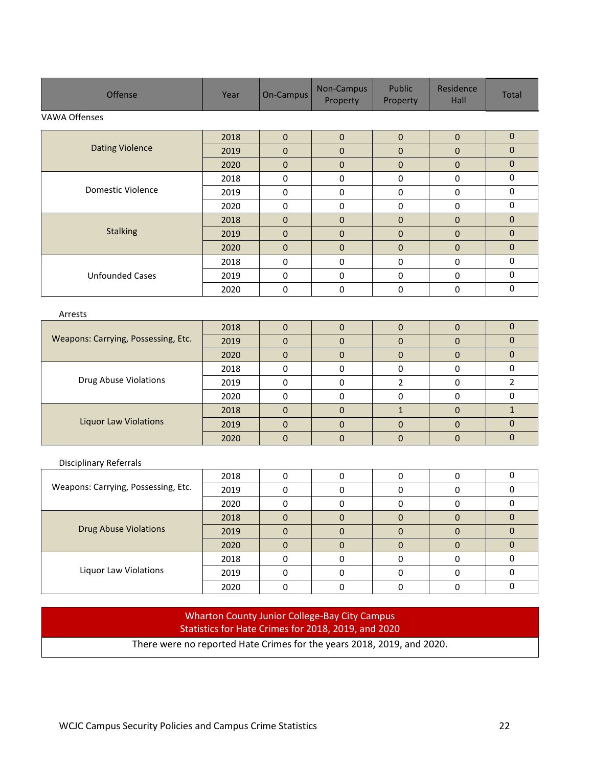| Offense                | Year | On-Campus    | Non-Campus<br>Property | Public<br>Property | Residence<br><b>Hall</b> | Total        |  |  |  |
|------------------------|------|--------------|------------------------|--------------------|--------------------------|--------------|--|--|--|
| VAWA Offenses          |      |              |                        |                    |                          |              |  |  |  |
|                        | 2018 | $\mathbf{0}$ | $\mathbf{0}$           | $\mathbf{0}$       | $\mathbf{0}$             | $\mathbf{0}$ |  |  |  |
| <b>Dating Violence</b> | 2019 | $\mathbf{0}$ | $\mathbf{0}$           | $\mathbf{0}$       | $\mathbf{0}$             | $\mathbf{0}$ |  |  |  |
|                        | 2020 | $\mathbf{0}$ | $\mathbf{0}$           | $\pmb{0}$          | $\mathbf{0}$             | $\mathbf{0}$ |  |  |  |
|                        | 2018 | 0            | 0                      | 0                  | 0                        | $\mathbf 0$  |  |  |  |
| Domestic Violence      | 2019 | $\mathbf 0$  | $\mathbf 0$            | 0                  | $\mathbf 0$              | $\mathbf 0$  |  |  |  |
|                        | 2020 | $\mathbf 0$  | $\mathbf 0$            | 0                  | 0                        | $\mathbf 0$  |  |  |  |
|                        | 2018 | $\mathbf{0}$ | $\mathbf{0}$           | $\mathbf{0}$       | $\mathbf{0}$             | $\mathbf{0}$ |  |  |  |
| <b>Stalking</b>        | 2019 | $\mathbf{0}$ | $\mathbf{0}$           | $\mathbf{0}$       | $\mathbf{0}$             | $\mathbf{0}$ |  |  |  |
|                        | 2020 | $\mathbf{0}$ | $\mathbf{0}$           | $\mathbf{0}$       | $\mathbf{0}$             | $\mathbf{0}$ |  |  |  |
|                        | 2018 | $\mathbf 0$  | $\mathbf 0$            | 0                  | $\mathbf 0$              | $\mathbf 0$  |  |  |  |
| <b>Unfounded Cases</b> | 2019 | $\mathbf 0$  | $\mathbf 0$            | $\mathbf 0$        | $\mathbf 0$              | $\mathbf 0$  |  |  |  |
|                        | 2020 | 0            | 0                      | 0                  | 0                        | 0            |  |  |  |
| Arrests                |      |              |                        |                    |                          |              |  |  |  |

| Weapons: Carrying, Possessing, Etc. | 2018 |   |  |   |  |
|-------------------------------------|------|---|--|---|--|
|                                     | 2019 | 0 |  |   |  |
|                                     | 2020 | 0 |  | 0 |  |
| Drug Abuse Violations               | 2018 |   |  |   |  |
|                                     | 2019 |   |  |   |  |
|                                     | 2020 |   |  |   |  |
| <b>Liquor Law Violations</b>        | 2018 |   |  |   |  |
|                                     | 2019 |   |  |   |  |
|                                     | 2020 |   |  |   |  |

#### Disciplinary Referrals

| Weapons: Carrying, Possessing, Etc. | 2018 | 0 |  |          |  |
|-------------------------------------|------|---|--|----------|--|
|                                     | 2019 |   |  |          |  |
|                                     | 2020 |   |  |          |  |
| <b>Drug Abuse Violations</b>        | 2018 | 0 |  |          |  |
|                                     | 2019 | 0 |  | $\Omega$ |  |
|                                     | 2020 |   |  |          |  |
| Liquor Law Violations               | 2018 |   |  |          |  |
|                                     | 2019 |   |  |          |  |
|                                     | 2020 |   |  |          |  |

### Wharton County Junior College-Bay City Campus Statistics for Hate Crimes for 2018, 2019, and 2020

There were no reported Hate Crimes for the years 2018, 2019, and 2020.